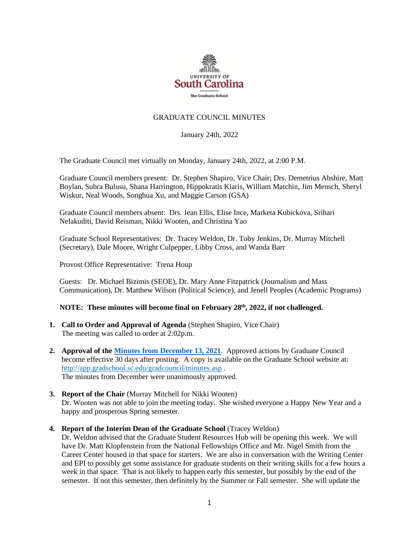

# GRADUATE COUNCIL MINUTES

January 24th, 2022

The Graduate Council met virtually on Monday, January 24th, 2022, at 2:00 P.M.

Graduate Council members present: Dr. Stephen Shapiro, Vice Chair; Drs. Demetrius Abshire, Matt Boylan, Subra Bulusu, Shana Harrington, Hippokratis Kiaris, William Matchin, Jim Mensch, Sheryl Wiskur, Neal Woods, Songhua Xu, and Maggie Carson (GSA)

Graduate Council members absent: Drs. Jean Ellis, Elise Ince, Marketa Kubickova, Srihari Nelakuditi, David Reisman, Nikki Wooten, and Christina Yao

Graduate School Representatives: Dr. Tracey Weldon, Dr. Toby Jenkins, Dr. Murray Mitchell (Secretary), Dale Moore, Wright Culpepper, Libby Cross, and Wanda Barr

Provost Office Representative: Trena Houp

Guests: Dr. Michael Bizimis (SEOE), Dr. Mary Anne Fitzpatrick (Journalism and Mass Communication), Dr. Matthew Wilson (Political Science), and Jenell Peoples (Academic Programs)

## **NOTE: These minutes will become final on February 28 th, 2022, if not challenged.**

- **1. Call to Order and Approval of Agenda** (Stephen Shapiro, Vice Chair) The meeting was called to order at 2:02p.m.
- **2. Approval of th[e Minutes from December](file://///COSSLAOthello.ds.sc.edu/MIRROR/GRAD/WANDAB/Profile/Documents/Agendas%20and%20Minutes/GCMINUTES12.13.21%20MM%20w2%20GSA%20attachs.pdf) 13, 2021**. Approved actions by Graduate Council become effective 30 days after posting. A copy is available on the Graduate School website at: <http://app.gradschool.sc.edu/gradcouncil/minutes.asp> . The minutes from December were unanimously approved.
- **3. Report of the Chair** (Murray Mitchell for Nikki Wooten) Dr. Wooten was not able to join the meeting today. She wished everyone a Happy New Year and a happy and prosperous Spring semester.

**4. Report of the Interim Dean of the Graduate School** (Tracey Weldon)

Dr. Weldon advised that the Graduate Student Resources Hub will be opening this week. We will have Dr. Matt Klopfenstein from the National Fellowships Office and Mr. Nigel Smith from the Career Center housed in that space for starters. We are also in conversation with the Writing Center and EPI to possibly get some assistance for graduate students on their writing skills for a few hours a week in that space. That is not likely to happen early this semester, but possibly by the end of the semester. If not this semester, then definitely by the Summer or Fall semester. She will update the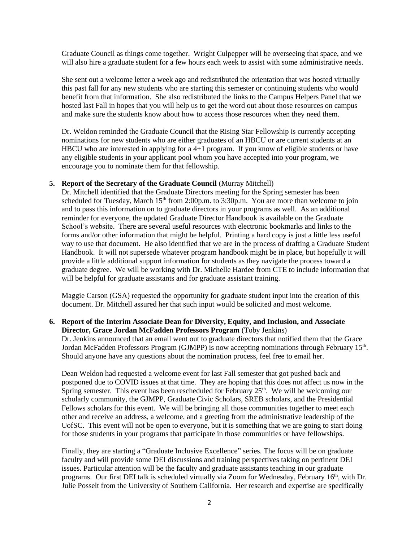Graduate Council as things come together. Wright Culpepper will be overseeing that space, and we will also hire a graduate student for a few hours each week to assist with some administrative needs.

She sent out a welcome letter a week ago and redistributed the orientation that was hosted virtually this past fall for any new students who are starting this semester or continuing students who would benefit from that information. She also redistributed the links to the Campus Helpers Panel that we hosted last Fall in hopes that you will help us to get the word out about those resources on campus and make sure the students know about how to access those resources when they need them.

Dr. Weldon reminded the Graduate Council that the Rising Star Fellowship is currently accepting nominations for new students who are either graduates of an HBCU or are current students at an HBCU who are interested in applying for a 4+1 program. If you know of eligible students or have any eligible students in your applicant pool whom you have accepted into your program, we encourage you to nominate them for that fellowship.

### **5. Report of the Secretary of the Graduate Council** (Murray Mitchell)

Dr. Mitchell identified that the Graduate Directors meeting for the Spring semester has been scheduled for Tuesday, March  $15<sup>th</sup>$  from 2:00p.m. to 3:30p.m. You are more than welcome to join and to pass this information on to graduate directors in your programs as well. As an additional reminder for everyone, the updated Graduate Director Handbook is available on the Graduate School's website. There are several useful resources with electronic bookmarks and links to the forms and/or other information that might be helpful. Printing a hard copy is just a little less useful way to use that document. He also identified that we are in the process of drafting a Graduate Student Handbook. It will not supersede whatever program handbook might be in place, but hopefully it will provide a little additional support information for students as they navigate the process toward a graduate degree. We will be working with Dr. Michelle Hardee from CTE to include information that will be helpful for graduate assistants and for graduate assistant training.

Maggie Carson (GSA) requested the opportunity for graduate student input into the creation of this document. Dr. Mitchell assured her that such input would be solicited and most welcome.

## **6. Report of the Interim Associate Dean for Diversity, Equity, and Inclusion, and Associate Director, Grace Jordan McFadden Professors Program** (Toby Jenkins)

Dr. Jenkins announced that an email went out to graduate directors that notified them that the Grace Jordan McFadden Professors Program (GJMPP) is now accepting nominations through February 15<sup>th</sup>. Should anyone have any questions about the nomination process, feel free to email her.

Dean Weldon had requested a welcome event for last Fall semester that got pushed back and postponed due to COVID issues at that time. They are hoping that this does not affect us now in the Spring semester. This event has been rescheduled for February  $25<sup>th</sup>$ . We will be welcoming our scholarly community, the GJMPP, Graduate Civic Scholars, SREB scholars, and the Presidential Fellows scholars for this event. We will be bringing all those communities together to meet each other and receive an address, a welcome, and a greeting from the administrative leadership of the UofSC. This event will not be open to everyone, but it is something that we are going to start doing for those students in your programs that participate in those communities or have fellowships.

Finally, they are starting a "Graduate Inclusive Excellence" series. The focus will be on graduate faculty and will provide some DEI discussions and training perspectives taking on pertinent DEI issues. Particular attention will be the faculty and graduate assistants teaching in our graduate programs. Our first DEI talk is scheduled virtually via Zoom for Wednesday, February 16<sup>th</sup>, with Dr. Julie Posselt from the University of Southern California. Her research and expertise are specifically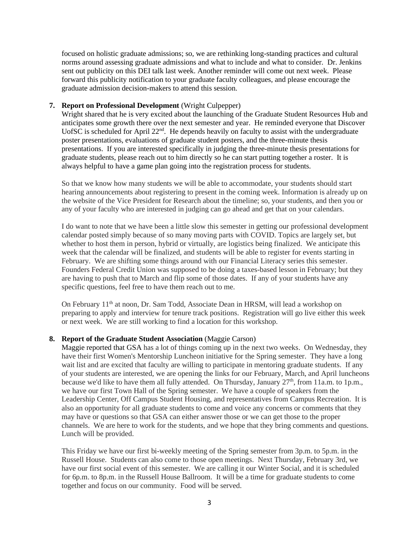focused on holistic graduate admissions; so, we are rethinking long-standing practices and cultural norms around assessing graduate admissions and what to include and what to consider. Dr. Jenkins sent out publicity on this DEI talk last week. Another reminder will come out next week. Please forward this publicity notification to your graduate faculty colleagues, and please encourage the graduate admission decision-makers to attend this session.

## **7. Report on Professional Development** (Wright Culpepper)

Wright shared that he is very excited about the launching of the Graduate Student Resources Hub and anticipates some growth there over the next semester and year. He reminded everyone that Discover UofSC is scheduled for April  $22<sup>nd</sup>$ . He depends heavily on faculty to assist with the undergraduate poster presentations, evaluations of graduate student posters, and the three-minute thesis presentations. If you are interested specifically in judging the three-minute thesis presentations for graduate students, please reach out to him directly so he can start putting together a roster. It is always helpful to have a game plan going into the registration process for students.

So that we know how many students we will be able to accommodate, your students should start hearing announcements about registering to present in the coming week. Information is already up on the website of the Vice President for Research about the timeline; so, your students, and then you or any of your faculty who are interested in judging can go ahead and get that on your calendars.

I do want to note that we have been a little slow this semester in getting our professional development calendar posted simply because of so many moving parts with COVID. Topics are largely set, but whether to host them in person, hybrid or virtually, are logistics being finalized. We anticipate this week that the calendar will be finalized, and students will be able to register for events starting in February. We are shifting some things around with our Financial Literacy series this semester. Founders Federal Credit Union was supposed to be doing a taxes-based lesson in February; but they are having to push that to March and flip some of those dates. If any of your students have any specific questions, feel free to have them reach out to me.

On February 11th at noon, Dr. Sam Todd, Associate Dean in HRSM, will lead a workshop on preparing to apply and interview for tenure track positions. Registration will go live either this week or next week. We are still working to find a location for this workshop.

# **8. Report of the Graduate Student Association** (Maggie Carson)

Maggie reported that GSA has a lot of things coming up in the next two weeks. On Wednesday, they have their first Women's Mentorship Luncheon initiative for the Spring semester. They have a long wait list and are excited that faculty are willing to participate in mentoring graduate students. If any of your students are interested, we are opening the links for our February, March, and April luncheons because we'd like to have them all fully attended. On Thursday, January  $27<sup>th</sup>$ , from 11a.m. to 1p.m., we have our first Town Hall of the Spring semester. We have a couple of speakers from the Leadership Center, Off Campus Student Housing, and representatives from Campus Recreation. It is also an opportunity for all graduate students to come and voice any concerns or comments that they may have or questions so that GSA can either answer those or we can get those to the proper channels. We are here to work for the students, and we hope that they bring comments and questions. Lunch will be provided.

This Friday we have our first bi-weekly meeting of the Spring semester from 3p.m. to 5p.m. in the Russell House. Students can also come to those open meetings. Next Thursday, February 3rd, we have our first social event of this semester. We are calling it our Winter Social, and it is scheduled for 6p.m. to 8p.m. in the Russell House Ballroom. It will be a time for graduate students to come together and focus on our community. Food will be served.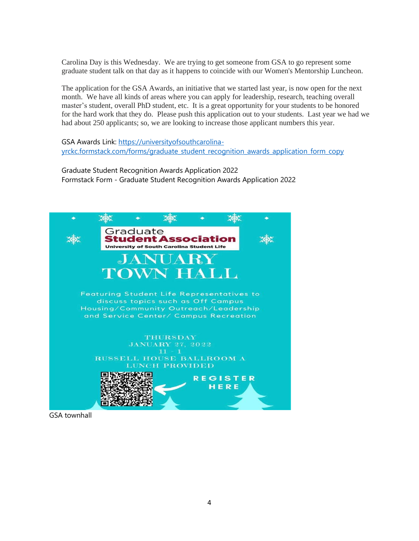Carolina Day is this Wednesday. We are trying to get someone from GSA to go represent some graduate student talk on that day as it happens to coincide with our Women's Mentorship Luncheon.

The application for the GSA Awards, an initiative that we started last year, is now open for the next month. We have all kinds of areas where you can apply for leadership, research, teaching overall master's student, overall PhD student, etc. It is a great opportunity for your students to be honored for the hard work that they do. Please push this application out to your students. Last year we had we had about 250 applicants; so, we are looking to increase those applicant numbers this year.

GSA Awards Link: [https://universityofsouthcarolina](https://universityofsouthcarolina-yrckc.formstack.com/forms/graduate_student_recognition_awards_application_form_copy)[yrckc.formstack.com/forms/graduate\\_student\\_recognition\\_awards\\_application\\_form\\_copy](https://universityofsouthcarolina-yrckc.formstack.com/forms/graduate_student_recognition_awards_application_form_copy)

Graduate Student Recognition Awards Application 2022 Formstack Form - Graduate Student Recognition Awards Application 2022



GSA townhall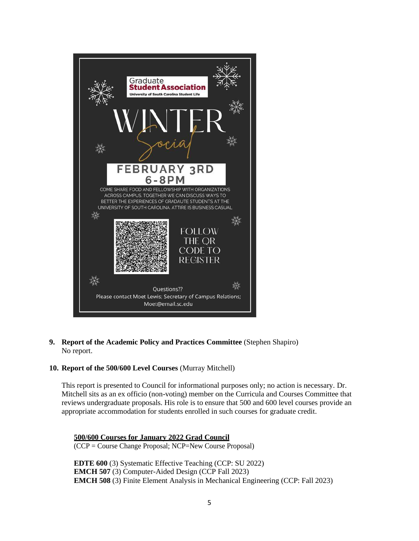

**9. Report of the Academic Policy and Practices Committee** (Stephen Shapiro) No report.

# **10. Report of the 500/600 Level Courses** (Murray Mitchell)

This report is presented to Council for informational purposes only; no action is necessary. Dr. Mitchell sits as an ex officio (non-voting) member on the Curricula and Courses Committee that reviews undergraduate proposals. His role is to ensure that 500 and 600 level courses provide an appropriate accommodation for students enrolled in such courses for graduate credit.

# **500/600 Courses for January 2022 Grad Council**

(CCP = Course Change Proposal; NCP=New Course Proposal)

**EDTE 600** (3) Systematic Effective Teaching (CCP: SU 2022) **EMCH 507** (3) Computer-Aided Design (CCP Fall 2023) **EMCH 508** (3) Finite Element Analysis in Mechanical Engineering (CCP: Fall 2023)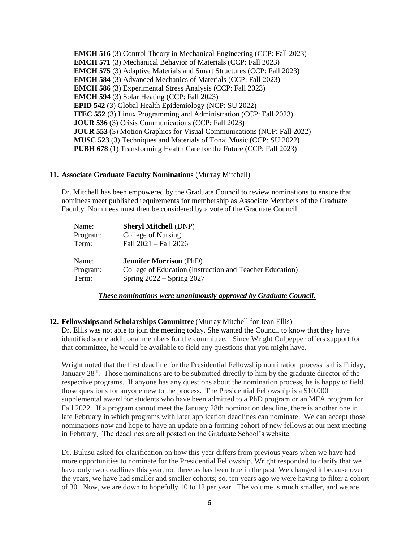**EMCH 516** (3) Control Theory in Mechanical Engineering (CCP: Fall 2023) **EMCH 571** (3) Mechanical Behavior of Materials (CCP: Fall 2023) **EMCH 575** (3) Adaptive Materials and Smart Structures (CCP: Fall 2023) **EMCH 584** (3) Advanced Mechanics of Materials (CCP: Fall 2023) **EMCH 586** (3) Experimental Stress Analysis (CCP: Fall 2023) **EMCH 594** (3) Solar Heating (CCP: Fall 2023) **EPID 542** (3) Global Health Epidemiology (NCP: SU 2022) **ITEC 552** (3) Linux Programming and Administration (CCP: Fall 2023) **JOUR 536** (3) Crisis Communications (CCP: Fall 2023) **JOUR 553** (3) Motion Graphics for Visual Communications (NCP: Fall 2022) **MUSC 523** (3) Techniques and Materials of Tonal Music (CCP: SU 2022) **PUBH 678** (1) Transforming Health Care for the Future (CCP: Fall 2023)

#### **11. Associate Graduate Faculty Nominations** (Murray Mitchell)

Dr. Mitchell has been empowered by the Graduate Council to review nominations to ensure that nominees meet published requirements for membership as Associate Members of the Graduate Faculty. Nominees must then be considered by a vote of the Graduate Council.

| Name:    | <b>Sheryl Mitchell (DNP)</b>                             |
|----------|----------------------------------------------------------|
| Program: | College of Nursing                                       |
| Term:    | Fall 2021 - Fall 2026                                    |
| Name:    | <b>Jennifer Morrison</b> (PhD)                           |
| Program: | College of Education (Instruction and Teacher Education) |
| Term:    | Spring $2022 -$ Spring 2027                              |

*These nominations were unanimously approved by Graduate Council.*

## **12. Fellowships and Scholarships Committee** (Murray Mitchell for Jean Ellis)

Dr. Ellis was not able to join the meeting today. She wanted the Council to know that they have identified some additional members for the committee. Since Wright Culpepper offers support for that committee, he would be available to field any questions that you might have.

Wright noted that the first deadline for the Presidential Fellowship nomination process is this Friday, January  $28<sup>th</sup>$ . Those nominations are to be submitted directly to him by the graduate director of the respective programs. If anyone has any questions about the nomination process, he is happy to field those questions for anyone new to the process. The Presidential Fellowship is a \$10,000 supplemental award for students who have been admitted to a PhD program or an MFA program for Fall 2022. If a program cannot meet the January 28th nomination deadline, there is another one in late February in which programs with later application deadlines can nominate. We can accept those nominations now and hope to have an update on a forming cohort of new fellows at our next meeting in February. The deadlines are all posted on the Graduate School's website.

Dr. Bulusu asked for clarification on how this year differs from previous years when we have had more opportunities to nominate for the Presidential Fellowship. Wright responded to clarify that we have only two deadlines this year, not three as has been true in the past. We changed it because over the years, we have had smaller and smaller cohorts; so, ten years ago we were having to filter a cohort of 30. Now, we are down to hopefully 10 to 12 per year. The volume is much smaller, and we are